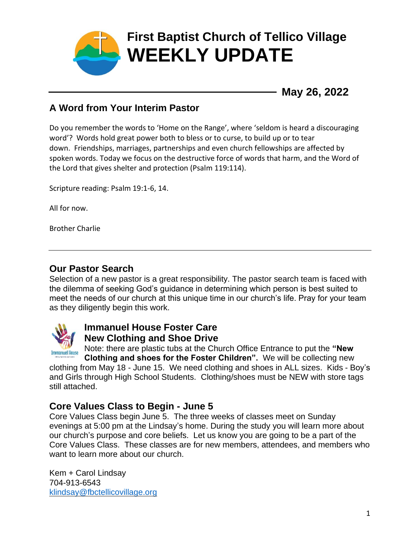

**May 26, 2022**

### **A Word from Your Interim Pastor**

Do you remember the words to 'Home on the Range', where 'seldom is heard a discouraging word'? Words hold great power both to bless or to curse, to build up or to tear down. Friendships, marriages, partnerships and even church fellowships are affected by spoken words. Today we focus on the destructive force of words that harm, and the Word of the Lord that gives shelter and protection (Psalm 119:114).

Scripture reading: Psalm 19:1-6, 14.

All for now.

Brother Charlie

### **Our Pastor Search**

Selection of a new pastor is a great responsibility. The pastor search team is faced with the dilemma of seeking God's guidance in determining which person is best suited to meet the needs of our church at this unique time in our church's life. Pray for your team as they diligently begin this work.



### **Immanuel House Foster Care New Clothing and Shoe Drive**

Note: there are plastic tubs at the Church Office Entrance to put the **"New Clothing and shoes for the Foster Children".** We will be collecting new

clothing from May 18 - June 15. We need clothing and shoes in ALL sizes. Kids - Boy's and Girls through High School Students. Clothing/shoes must be NEW with store tags still attached.

#### **Core Values Class to Begin - June 5**

Core Values Class begin June 5. The three weeks of classes meet on Sunday evenings at 5:00 pm at the Lindsay's home. During the study you will learn more about our church's purpose and core beliefs. Let us know you are going to be a part of the Core Values Class. These classes are for new members, attendees, and members who want to learn more about our church.

Kem + Carol Lindsay 704-913-6543 [klindsay@fbctellicovillage.org](mailto:klindsay@fbctellicovillage.org)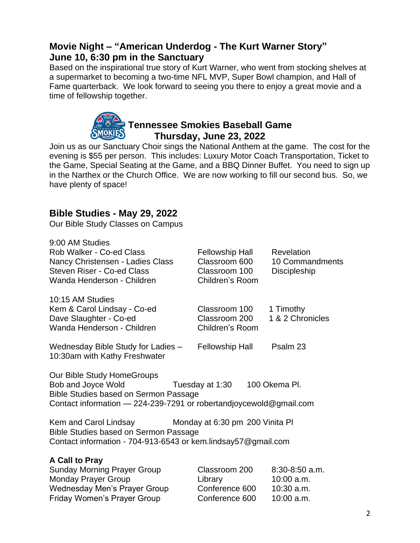### **Movie Night – "American Underdog - The Kurt Warner Story" June 10, 6:30 pm in the Sanctuary**

Based on the inspirational true story of Kurt Warner, who went from stocking shelves at a supermarket to becoming a two-time NFL MVP, Super Bowl champion, and Hall of Fame quarterback. We look forward to seeing you there to enjoy a great movie and a time of fellowship together.

# **Tennessee Smokies Baseball Game Thursday, June 23, 2022**

Join us as our Sanctuary Choir sings the National Anthem at the game. The cost for the evening is \$55 per person. This includes: Luxury Motor Coach Transportation, Ticket to the Game, Special Seating at the Game, and a BBQ Dinner Buffet. You need to sign up in the Narthex or the Church Office. We are now working to fill our second bus. So, we have plenty of space!

#### **Bible Studies - May 29, 2022**

Our Bible Study Classes on Campus

| 9:00 AM Studies<br>Rob Walker - Co-ed Class<br>Nancy Christensen - Ladies Class<br><b>Steven Riser - Co-ed Class</b><br>Wanda Henderson - Children                     | <b>Fellowship Hall</b><br>Classroom 600<br>Classroom 100<br>Children's Room | Revelation<br>10 Commandments<br>Discipleship                  |
|------------------------------------------------------------------------------------------------------------------------------------------------------------------------|-----------------------------------------------------------------------------|----------------------------------------------------------------|
| 10:15 AM Studies<br>Kem & Carol Lindsay - Co-ed<br>Dave Slaughter - Co-ed<br>Wanda Henderson - Children                                                                | Classroom 100<br>Classroom 200<br>Children's Room                           | 1 Timothy<br>1 & 2 Chronicles                                  |
| Wednesday Bible Study for Ladies -<br>10:30am with Kathy Freshwater                                                                                                    | <b>Fellowship Hall</b>                                                      | Psalm 23                                                       |
| Our Bible Study HomeGroups<br>Bob and Joyce Wold<br><b>Bible Studies based on Sermon Passage</b><br>Contact information - 224-239-7291 or robertandjoycewold@gmail.com | Tuesday at 1:30                                                             | 100 Okema Pl.                                                  |
| Kem and Carol Lindsay<br>Bible Studies based on Sermon Passage<br>Contact information - 704-913-6543 or kem.lindsay57@gmail.com                                        | Monday at 6:30 pm 200 Vinita PI                                             |                                                                |
| A Call to Pray<br><b>Sunday Morning Prayer Group</b><br><b>Monday Prayer Group</b><br><b>Wednesday Men's Prayer Group</b><br>Friday Women's Prayer Group               | Classroom 200<br>Library<br>Conference 600<br>Conference 600                | $8:30-8:50$ a.m.<br>$10:00$ a.m.<br>$10:30$ a.m.<br>10:00 a.m. |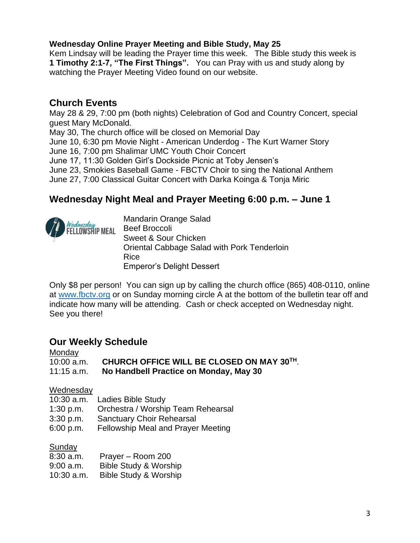#### **Wednesday Online Prayer Meeting and Bible Study, May 25**

Kem Lindsay will be leading the Prayer time this week. The Bible study this week is **1 Timothy 2:1-7, "The First Things".** You can Pray with us and study along by watching the Prayer Meeting Video found on our website.

#### **Church Events**

May 28 & 29, 7:00 pm (both nights) Celebration of God and Country Concert, special guest Mary McDonald.

May 30, The church office will be closed on Memorial Day

June 10, 6:30 pm Movie Night - American Underdog - The Kurt Warner Story

June 16, 7:00 pm Shalimar UMC Youth Choir Concert

June 17, 11:30 Golden Girl's Dockside Picnic at Toby Jensen's

June 23, Smokies Baseball Game - FBCTV Choir to sing the National Anthem

June 27, 7:00 Classical Guitar Concert with Darka Koinga & Tonja Miric

### **Wednesday Night Meal and Prayer Meeting 6:00 p.m. – June 1**



Only \$8 per person! You can sign up by calling the church office (865) 408-0110, online at [www.fbctv.org](http://www.fbctv.org/) or on Sunday morning circle A at the bottom of the bulletin tear off and indicate how many will be attending. Cash or check accepted on Wednesday night. See you there!

#### **Our Weekly Schedule**

#### **Monday**

| $10:00$ a.m. | CHURCH OFFICE WILL BE CLOSED ON MAY 30TH. |
|--------------|-------------------------------------------|
| $11:15$ a.m. | No Handbell Practice on Monday, May 30    |

#### Wednesday

- 10:30 a.m. Ladies Bible Study
- 1:30 p.m. Orchestra / Worship Team Rehearsal
- 3:30 p.m. Sanctuary Choir Rehearsal
- 6:00 p.m. Fellowship Meal and Prayer Meeting

#### Sunday

| 8:30 a.m.  | Prayer - Room 200                |
|------------|----------------------------------|
| 9:00 a.m.  | <b>Bible Study &amp; Worship</b> |
| 10:30 a.m. | Bible Study & Worship            |